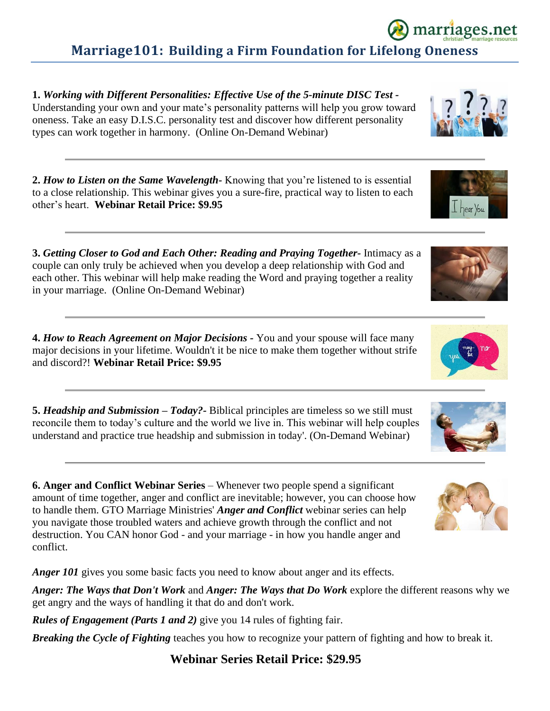## **Marriage101: Building a Firm Foundation for Lifelong Oneness**

**1.** *Working with Different Personalities: Effective Use of the 5-minute DISC Test -* Understanding your own and your mate's personality patterns will help you grow toward oneness. Take an easy D.I.S.C. personality test and discover how different personality types can work together in harmony. (Online On-Demand Webinar)

**2.** *How to Listen on the Same Wavelength-* Knowing that you're listened to is essential to a close relationship. This webinar gives you a sure-fire, practical way to listen to each other's heart. **Webinar Retail Price: \$9.95**

**3.** *Getting Closer to God and Each Other: Reading and Praying Together-* Intimacy as a couple can only truly be achieved when you develop a deep relationship with God and each other. This webinar will help make reading the Word and praying together a reality in your marriage. (Online On-Demand Webinar)

**4.** *How to Reach Agreement on Major Decisions -* You and your spouse will face many major decisions in your lifetime. Wouldn't it be nice to make them together without strife and discord?! **Webinar Retail Price: \$9.95**

**5.** *Headship and Submission – Today?-* Biblical principles are timeless so we still must reconcile them to today's culture and the world we live in. This webinar will help couples understand and practice true headship and submission in today'. (On-Demand Webinar)

**6. Anger and Conflict Webinar Series** – Whenever two people spend a significant amount of time together, anger and conflict are inevitable; however, you can choose how to handle them. GTO Marriage Ministries' *Anger and Conflict* webinar series can help you navigate those troubled waters and achieve growth through the conflict and not destruction. You CAN honor God - and your marriage - in how you handle anger and conflict.

*Anger 101* gives you some basic facts you need to know about anger and its effects.

*Anger: The Ways that Don't Work* and *Anger: The Ways that Do Work* explore the different reasons why we get angry and the ways of handling it that do and don't work.

*Rules of Engagement (Parts 1 and 2)* give you 14 rules of fighting fair.

*Breaking the Cycle of Fighting* teaches you how to recognize your pattern of fighting and how to break it.

### **Webinar Series Retail Price: \$29.95**









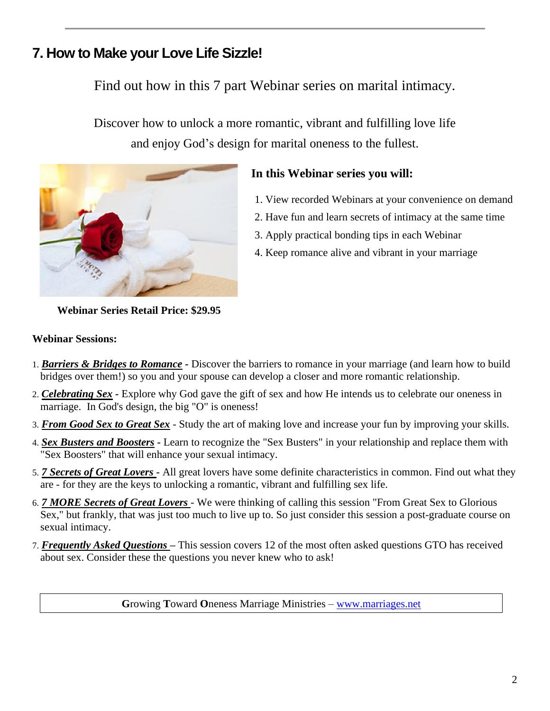## **7. How to Make your Love Life Sizzle!**

## Find out how in this 7 part Webinar series on marital intimacy.

Discover how to unlock a more romantic, vibrant and fulfilling love life and enjoy God's design for marital oneness to the fullest.



### **In this Webinar series you will:**

- 1. View recorded Webinars at your convenience on demand
- 2. Have fun and learn secrets of intimacy at the same time
- 3. Apply practical bonding tips in each Webinar
- 4. Keep romance alive and vibrant in your marriage

**Webinar Series Retail Price: \$29.95**

#### **Webinar Sessions:**

- 1. *Barriers & Bridges to Romance -* Discover the barriers to romance in your marriage (and learn how to build bridges over them!) so you and your spouse can develop a closer and more romantic relationship.
- 2. *Celebrating Sex -* Explore why God gave the gift of sex and how He intends us to celebrate our oneness in marriage. In God's design, the big "O" is oneness!
- 3. *From Good Sex to Great Sex* Study the art of making love and increase your fun by improving your skills.
- 4. *Sex Busters and Boosters -* Learn to recognize the "Sex Busters" in your relationship and replace them with "Sex Boosters" that will enhance your sexual intimacy.
- 5. *7 Secrets of Great Lovers -* All great lovers have some definite characteristics in common. Find out what they are - for they are the keys to unlocking a romantic, vibrant and fulfilling sex life.
- 6. *7 MORE Secrets of Great Lovers*  We were thinking of calling this session "From Great Sex to Glorious Sex," but frankly, that was just too much to live up to. So just consider this session a post-graduate course on sexual intimacy.
- 7. *Frequently Asked Questions* **–** This session covers 12 of the most often asked questions GTO has received about sex. Consider these the questions you never knew who to ask!

**G**rowing **T**oward **O**neness Marriage Ministries – [www.marriages.net](http://www.marriages.net/)